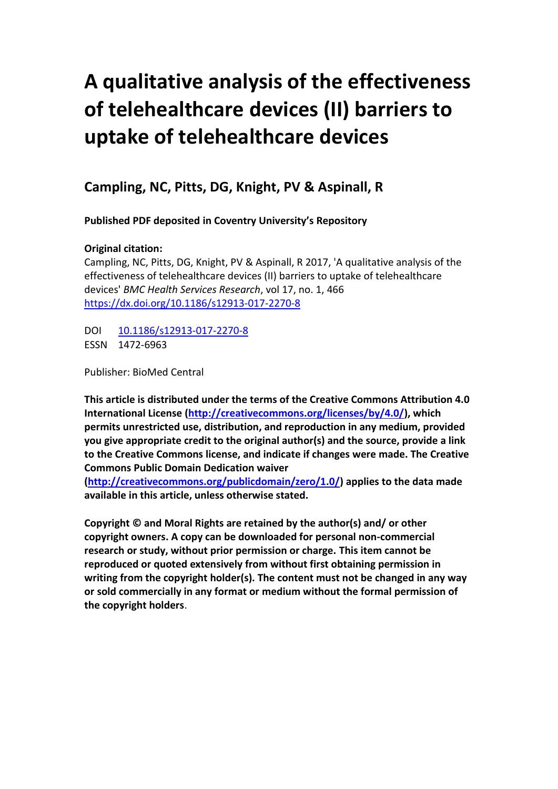# **A qualitative analysis of the effectiveness of telehealthcare devices (II) barriers to uptake of telehealthcare devices**

## **Campling, NC, Pitts, DG, Knight, PV & Aspinall, R**

**Published PDF deposited in Coventry University's Repository**

## **Original citation:**

Campling, NC, Pitts, DG, Knight, PV & Aspinall, R 2017, 'A qualitative analysis of the effectiveness of telehealthcare devices (II) barriers to uptake of telehealthcare devices' *BMC Health Services Research*, vol 17, no. 1, 466 [https://dx.doi.org/10.1186/s12913-017-2270-8](https://dx.doi.org/%5bDOI%5d)

DOI [10.1186/s12913-017-2270-8](http://dx.doi.org/10.1186/s12913-017-2270-8) ESSN 1472-6963

Publisher: BioMed Central

**This article is distributed under the terms of the Creative Commons Attribution 4.0 International License [\(http://creativecommons.org/licenses/by/4.0/\)](http://creativecommons.org/licenses/by/4.0/), which permits unrestricted use, distribution, and reproduction in any medium, provided you give appropriate credit to the original author(s) and the source, provide a link to the Creative Commons license, and indicate if changes were made. The Creative Commons Public Domain Dedication waiver** 

**[\(http://creativecommons.org/publicdomain/zero/1.0/\)](http://creativecommons.org/publicdomain/zero/1.0/) applies to the data made available in this article, unless otherwise stated.**

**Copyright © and Moral Rights are retained by the author(s) and/ or other copyright owners. A copy can be downloaded for personal non-commercial research or study, without prior permission or charge. This item cannot be reproduced or quoted extensively from without first obtaining permission in writing from the copyright holder(s). The content must not be changed in any way or sold commercially in any format or medium without the formal permission of the copyright holders**.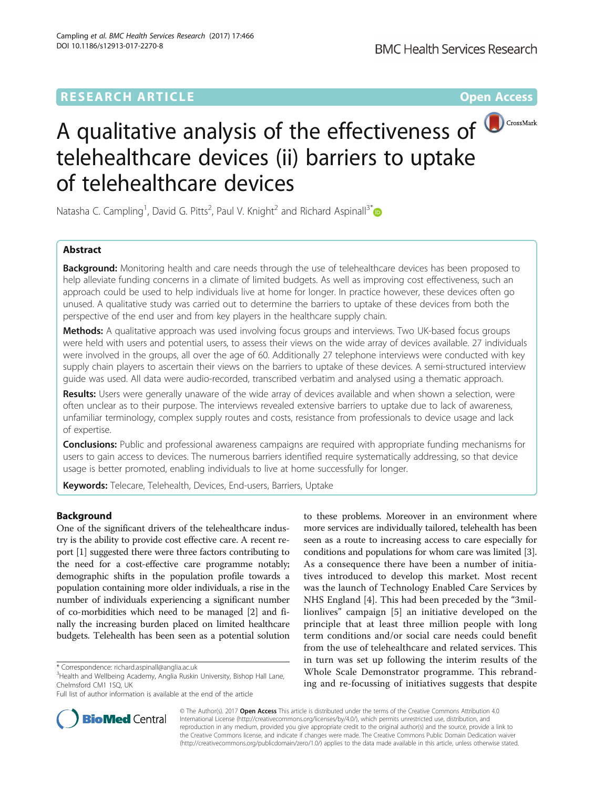## **RESEARCH ARTICLE Example 2018 12:00 Department of the Contract Open Access**



# A qualitative analysis of the effectiveness of telehealthcare devices (ii) barriers to uptake of telehealthcare devices

Natasha C. Campling<sup>1</sup>, David G. Pitts<sup>2</sup>, Paul V. Knight<sup>2</sup> and Richard Aspinall<sup>3[\\*](http://orcid.org/0000-0002-1648-1887)</sup>

### Abstract

**Background:** Monitoring health and care needs through the use of telehealthcare devices has been proposed to help alleviate funding concerns in a climate of limited budgets. As well as improving cost effectiveness, such an approach could be used to help individuals live at home for longer. In practice however, these devices often go unused. A qualitative study was carried out to determine the barriers to uptake of these devices from both the perspective of the end user and from key players in the healthcare supply chain.

Methods: A qualitative approach was used involving focus groups and interviews. Two UK-based focus groups were held with users and potential users, to assess their views on the wide array of devices available. 27 individuals were involved in the groups, all over the age of 60. Additionally 27 telephone interviews were conducted with key supply chain players to ascertain their views on the barriers to uptake of these devices. A semi-structured interview guide was used. All data were audio-recorded, transcribed verbatim and analysed using a thematic approach.

Results: Users were generally unaware of the wide array of devices available and when shown a selection, were often unclear as to their purpose. The interviews revealed extensive barriers to uptake due to lack of awareness, unfamiliar terminology, complex supply routes and costs, resistance from professionals to device usage and lack of expertise.

**Conclusions:** Public and professional awareness campaigns are required with appropriate funding mechanisms for users to gain access to devices. The numerous barriers identified require systematically addressing, so that device usage is better promoted, enabling individuals to live at home successfully for longer.

Keywords: Telecare, Telehealth, Devices, End-users, Barriers, Uptake

### Background

One of the significant drivers of the telehealthcare industry is the ability to provide cost effective care. A recent report [\[1](#page-9-0)] suggested there were three factors contributing to the need for a cost-effective care programme notably; demographic shifts in the population profile towards a population containing more older individuals, a rise in the number of individuals experiencing a significant number of co-morbidities which need to be managed [[2\]](#page-9-0) and finally the increasing burden placed on limited healthcare budgets. Telehealth has been seen as a potential solution

to these problems. Moreover in an environment where more services are individually tailored, telehealth has been seen as a route to increasing access to care especially for conditions and populations for whom care was limited [[3](#page-9-0)]. As a consequence there have been a number of initiatives introduced to develop this market. Most recent was the launch of Technology Enabled Care Services by NHS England [[4\]](#page-9-0). This had been preceded by the "3millionlives" campaign [\[5](#page-9-0)] an initiative developed on the principle that at least three million people with long term conditions and/or social care needs could benefit from the use of telehealthcare and related services. This in turn was set up following the interim results of the Whole Scale Demonstrator programme. This rebranding and re-focussing of initiatives suggests that despite



© The Author(s). 2017 **Open Access** This article is distributed under the terms of the Creative Commons Attribution 4.0 International License [\(http://creativecommons.org/licenses/by/4.0/](http://creativecommons.org/licenses/by/4.0/)), which permits unrestricted use, distribution, and reproduction in any medium, provided you give appropriate credit to the original author(s) and the source, provide a link to the Creative Commons license, and indicate if changes were made. The Creative Commons Public Domain Dedication waiver [\(http://creativecommons.org/publicdomain/zero/1.0/](http://creativecommons.org/publicdomain/zero/1.0/)) applies to the data made available in this article, unless otherwise stated.

<sup>\*</sup> Correspondence: [richard.aspinall@anglia.ac.uk](mailto:richard.aspinall@anglia.ac.uk) <sup>3</sup>

<sup>&</sup>lt;sup>3</sup>Health and Wellbeing Academy, Anglia Ruskin University, Bishop Hall Lane, Chelmsford CM1 1SQ, UK

Full list of author information is available at the end of the article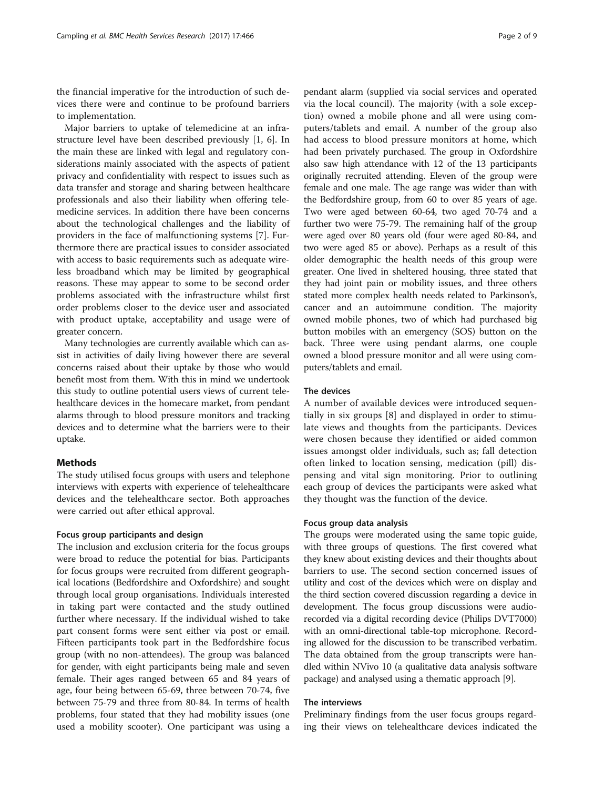the financial imperative for the introduction of such devices there were and continue to be profound barriers to implementation.

Major barriers to uptake of telemedicine at an infrastructure level have been described previously [[1, 6\]](#page-9-0). In the main these are linked with legal and regulatory considerations mainly associated with the aspects of patient privacy and confidentiality with respect to issues such as data transfer and storage and sharing between healthcare professionals and also their liability when offering telemedicine services. In addition there have been concerns about the technological challenges and the liability of providers in the face of malfunctioning systems [[7](#page-9-0)]. Furthermore there are practical issues to consider associated with access to basic requirements such as adequate wireless broadband which may be limited by geographical reasons. These may appear to some to be second order problems associated with the infrastructure whilst first order problems closer to the device user and associated with product uptake, acceptability and usage were of greater concern.

Many technologies are currently available which can assist in activities of daily living however there are several concerns raised about their uptake by those who would benefit most from them. With this in mind we undertook this study to outline potential users views of current telehealthcare devices in the homecare market, from pendant alarms through to blood pressure monitors and tracking devices and to determine what the barriers were to their uptake.

#### Methods

The study utilised focus groups with users and telephone interviews with experts with experience of telehealthcare devices and the telehealthcare sector. Both approaches were carried out after ethical approval.

#### Focus group participants and design

The inclusion and exclusion criteria for the focus groups were broad to reduce the potential for bias. Participants for focus groups were recruited from different geographical locations (Bedfordshire and Oxfordshire) and sought through local group organisations. Individuals interested in taking part were contacted and the study outlined further where necessary. If the individual wished to take part consent forms were sent either via post or email. Fifteen participants took part in the Bedfordshire focus group (with no non-attendees). The group was balanced for gender, with eight participants being male and seven female. Their ages ranged between 65 and 84 years of age, four being between 65-69, three between 70-74, five between 75-79 and three from 80-84. In terms of health problems, four stated that they had mobility issues (one used a mobility scooter). One participant was using a

pendant alarm (supplied via social services and operated via the local council). The majority (with a sole exception) owned a mobile phone and all were using computers/tablets and email. A number of the group also had access to blood pressure monitors at home, which had been privately purchased. The group in Oxfordshire also saw high attendance with 12 of the 13 participants originally recruited attending. Eleven of the group were female and one male. The age range was wider than with the Bedfordshire group, from 60 to over 85 years of age. Two were aged between 60-64, two aged 70-74 and a further two were 75-79. The remaining half of the group were aged over 80 years old (four were aged 80-84, and two were aged 85 or above). Perhaps as a result of this older demographic the health needs of this group were greater. One lived in sheltered housing, three stated that they had joint pain or mobility issues, and three others stated more complex health needs related to Parkinson's, cancer and an autoimmune condition. The majority owned mobile phones, two of which had purchased big button mobiles with an emergency (SOS) button on the back. Three were using pendant alarms, one couple owned a blood pressure monitor and all were using computers/tablets and email.

#### The devices

A number of available devices were introduced sequentially in six groups [[8\]](#page-9-0) and displayed in order to stimulate views and thoughts from the participants. Devices were chosen because they identified or aided common issues amongst older individuals, such as; fall detection often linked to location sensing, medication (pill) dispensing and vital sign monitoring. Prior to outlining each group of devices the participants were asked what they thought was the function of the device.

#### Focus group data analysis

The groups were moderated using the same topic guide, with three groups of questions. The first covered what they knew about existing devices and their thoughts about barriers to use. The second section concerned issues of utility and cost of the devices which were on display and the third section covered discussion regarding a device in development. The focus group discussions were audiorecorded via a digital recording device (Philips DVT7000) with an omni-directional table-top microphone. Recording allowed for the discussion to be transcribed verbatim. The data obtained from the group transcripts were handled within NVivo 10 (a qualitative data analysis software package) and analysed using a thematic approach [\[9](#page-9-0)].

#### The interviews

Preliminary findings from the user focus groups regarding their views on telehealthcare devices indicated the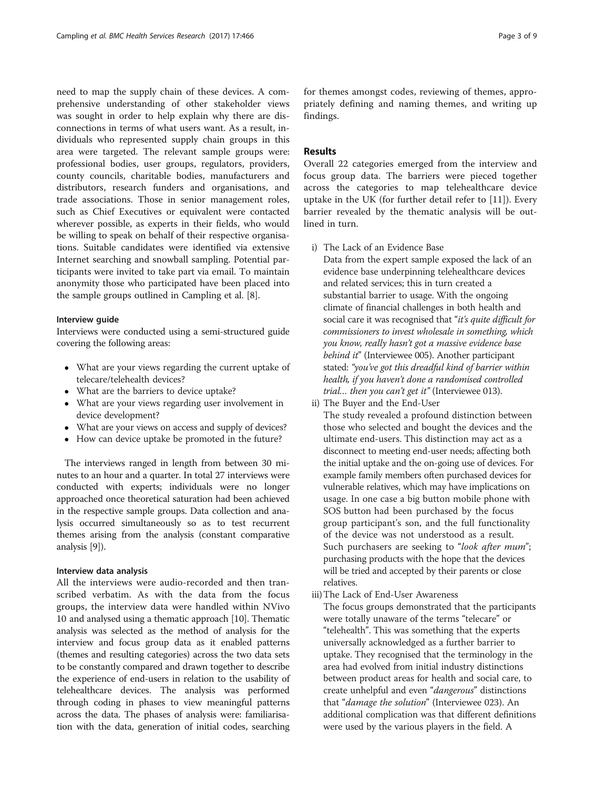need to map the supply chain of these devices. A comprehensive understanding of other stakeholder views was sought in order to help explain why there are disconnections in terms of what users want. As a result, individuals who represented supply chain groups in this area were targeted. The relevant sample groups were: professional bodies, user groups, regulators, providers, county councils, charitable bodies, manufacturers and distributors, research funders and organisations, and trade associations. Those in senior management roles, such as Chief Executives or equivalent were contacted wherever possible, as experts in their fields, who would be willing to speak on behalf of their respective organisations. Suitable candidates were identified via extensive Internet searching and snowball sampling. Potential participants were invited to take part via email. To maintain anonymity those who participated have been placed into the sample groups outlined in Campling et al. [[8\]](#page-9-0).

#### Interview guide

Interviews were conducted using a semi-structured guide covering the following areas:

- What are your views regarding the current uptake of telecare/telehealth devices?
- What are the barriers to device uptake?
- What are your views regarding user involvement in device development?
- What are your views on access and supply of devices?
- How can device uptake be promoted in the future?

The interviews ranged in length from between 30 minutes to an hour and a quarter. In total 27 interviews were conducted with experts; individuals were no longer approached once theoretical saturation had been achieved in the respective sample groups. Data collection and analysis occurred simultaneously so as to test recurrent themes arising from the analysis (constant comparative analysis [\[9\]](#page-9-0)).

#### Interview data analysis

All the interviews were audio-recorded and then transcribed verbatim. As with the data from the focus groups, the interview data were handled within NVivo 10 and analysed using a thematic approach [[10\]](#page-9-0). Thematic analysis was selected as the method of analysis for the interview and focus group data as it enabled patterns (themes and resulting categories) across the two data sets to be constantly compared and drawn together to describe the experience of end-users in relation to the usability of telehealthcare devices. The analysis was performed through coding in phases to view meaningful patterns across the data. The phases of analysis were: familiarisation with the data, generation of initial codes, searching

for themes amongst codes, reviewing of themes, appropriately defining and naming themes, and writing up findings.

#### Results

Overall 22 categories emerged from the interview and focus group data. The barriers were pieced together across the categories to map telehealthcare device uptake in the UK (for further detail refer to [[11](#page-9-0)]). Every barrier revealed by the thematic analysis will be outlined in turn.

i) The Lack of an Evidence Base

Data from the expert sample exposed the lack of an evidence base underpinning telehealthcare devices and related services; this in turn created a substantial barrier to usage. With the ongoing climate of financial challenges in both health and social care it was recognised that "it's quite difficult for commissioners to invest wholesale in something, which you know, really hasn't got a massive evidence base behind it" (Interviewee 005). Another participant stated: "you've got this dreadful kind of barrier within health, if you haven't done a randomised controlled trial... then you can't get it" (Interviewee 013).

ii) The Buyer and the End-User

The study revealed a profound distinction between those who selected and bought the devices and the ultimate end-users. This distinction may act as a disconnect to meeting end-user needs; affecting both the initial uptake and the on-going use of devices. For example family members often purchased devices for vulnerable relatives, which may have implications on usage. In one case a big button mobile phone with SOS button had been purchased by the focus group participant's son, and the full functionality of the device was not understood as a result. Such purchasers are seeking to "look after mum"; purchasing products with the hope that the devices will be tried and accepted by their parents or close relatives.

iii)The Lack of End-User Awareness

The focus groups demonstrated that the participants were totally unaware of the terms "telecare" or "telehealth". This was something that the experts universally acknowledged as a further barrier to uptake. They recognised that the terminology in the area had evolved from initial industry distinctions between product areas for health and social care, to create unhelpful and even "dangerous" distinctions that "damage the solution" (Interviewee 023). An additional complication was that different definitions were used by the various players in the field. A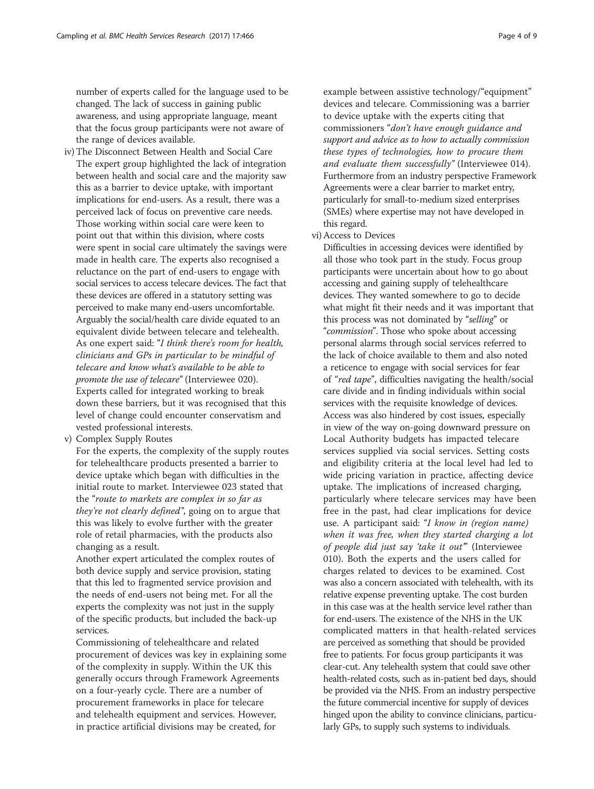number of experts called for the language used to be changed. The lack of success in gaining public awareness, and using appropriate language, meant that the focus group participants were not aware of the range of devices available.

- iv) The Disconnect Between Health and Social Care The expert group highlighted the lack of integration between health and social care and the majority saw this as a barrier to device uptake, with important implications for end-users. As a result, there was a perceived lack of focus on preventive care needs. Those working within social care were keen to point out that within this division, where costs were spent in social care ultimately the savings were made in health care. The experts also recognised a reluctance on the part of end-users to engage with social services to access telecare devices. The fact that these devices are offered in a statutory setting was perceived to make many end-users uncomfortable. Arguably the social/health care divide equated to an equivalent divide between telecare and telehealth. As one expert said: "I think there's room for health, clinicians and GPs in particular to be mindful of telecare and know what's available to be able to promote the use of telecare" (Interviewee 020). Experts called for integrated working to break down these barriers, but it was recognised that this level of change could encounter conservatism and vested professional interests.
- v) Complex Supply Routes

For the experts, the complexity of the supply routes for telehealthcare products presented a barrier to device uptake which began with difficulties in the initial route to market. Interviewee 023 stated that the "route to markets are complex in so far as they're not clearly defined", going on to argue that this was likely to evolve further with the greater role of retail pharmacies, with the products also changing as a result.

Another expert articulated the complex routes of both device supply and service provision, stating that this led to fragmented service provision and the needs of end-users not being met. For all the experts the complexity was not just in the supply of the specific products, but included the back-up services.

Commissioning of telehealthcare and related procurement of devices was key in explaining some of the complexity in supply. Within the UK this generally occurs through Framework Agreements on a four-yearly cycle. There are a number of procurement frameworks in place for telecare and telehealth equipment and services. However, in practice artificial divisions may be created, for

example between assistive technology/"equipment" devices and telecare. Commissioning was a barrier to device uptake with the experts citing that commissioners "don't have enough guidance and support and advice as to how to actually commission these types of technologies, how to procure them and evaluate them successfully" (Interviewee 014). Furthermore from an industry perspective Framework Agreements were a clear barrier to market entry, particularly for small-to-medium sized enterprises (SMEs) where expertise may not have developed in this regard.

vi) Access to Devices

Difficulties in accessing devices were identified by all those who took part in the study. Focus group participants were uncertain about how to go about accessing and gaining supply of telehealthcare devices. They wanted somewhere to go to decide what might fit their needs and it was important that this process was not dominated by "selling" or "commission". Those who spoke about accessing personal alarms through social services referred to the lack of choice available to them and also noted a reticence to engage with social services for fear of "red tape", difficulties navigating the health/social care divide and in finding individuals within social services with the requisite knowledge of devices. Access was also hindered by cost issues, especially in view of the way on-going downward pressure on Local Authority budgets has impacted telecare services supplied via social services. Setting costs and eligibility criteria at the local level had led to wide pricing variation in practice, affecting device uptake. The implications of increased charging, particularly where telecare services may have been free in the past, had clear implications for device use. A participant said: "I know in (region name) when it was free, when they started charging a lot of people did just say 'take it out'" (Interviewee 010). Both the experts and the users called for charges related to devices to be examined. Cost was also a concern associated with telehealth, with its relative expense preventing uptake. The cost burden in this case was at the health service level rather than for end-users. The existence of the NHS in the UK complicated matters in that health-related services are perceived as something that should be provided free to patients. For focus group participants it was clear-cut. Any telehealth system that could save other health-related costs, such as in-patient bed days, should be provided via the NHS. From an industry perspective the future commercial incentive for supply of devices hinged upon the ability to convince clinicians, particularly GPs, to supply such systems to individuals.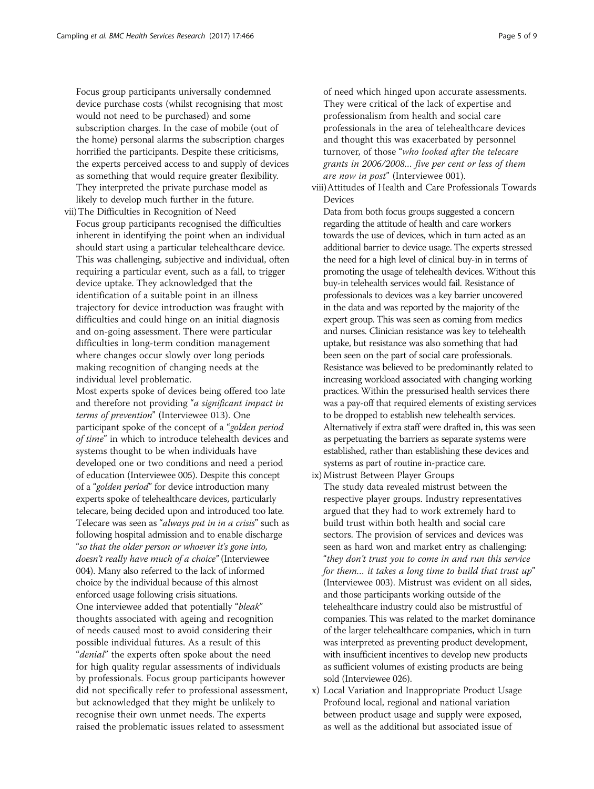Focus group participants universally condemned device purchase costs (whilst recognising that most would not need to be purchased) and some subscription charges. In the case of mobile (out of the home) personal alarms the subscription charges horrified the participants. Despite these criticisms, the experts perceived access to and supply of devices as something that would require greater flexibility. They interpreted the private purchase model as likely to develop much further in the future.

vii)The Difficulties in Recognition of Need Focus group participants recognised the difficulties inherent in identifying the point when an individual should start using a particular telehealthcare device. This was challenging, subjective and individual, often requiring a particular event, such as a fall, to trigger device uptake. They acknowledged that the identification of a suitable point in an illness trajectory for device introduction was fraught with difficulties and could hinge on an initial diagnosis and on-going assessment. There were particular difficulties in long-term condition management where changes occur slowly over long periods making recognition of changing needs at the individual level problematic.

Most experts spoke of devices being offered too late and therefore not providing "a significant impact in terms of prevention" (Interviewee 013). One participant spoke of the concept of a "golden period of time" in which to introduce telehealth devices and systems thought to be when individuals have developed one or two conditions and need a period of education (Interviewee 005). Despite this concept of a "golden period" for device introduction many experts spoke of telehealthcare devices, particularly telecare, being decided upon and introduced too late. Telecare was seen as "always put in in a crisis" such as following hospital admission and to enable discharge "so that the older person or whoever it's gone into, doesn't really have much of a choice" (Interviewee 004). Many also referred to the lack of informed choice by the individual because of this almost enforced usage following crisis situations. One interviewee added that potentially "bleak" thoughts associated with ageing and recognition of needs caused most to avoid considering their possible individual futures. As a result of this "denial" the experts often spoke about the need for high quality regular assessments of individuals by professionals. Focus group participants however did not specifically refer to professional assessment, but acknowledged that they might be unlikely to recognise their own unmet needs. The experts raised the problematic issues related to assessment

of need which hinged upon accurate assessments. They were critical of the lack of expertise and professionalism from health and social care professionals in the area of telehealthcare devices and thought this was exacerbated by personnel turnover, of those "who looked after the telecare grants in 2006/2008… five per cent or less of them are now in post" (Interviewee 001).

viii)Attitudes of Health and Care Professionals Towards Devices

Data from both focus groups suggested a concern regarding the attitude of health and care workers towards the use of devices, which in turn acted as an additional barrier to device usage. The experts stressed the need for a high level of clinical buy-in in terms of promoting the usage of telehealth devices. Without this buy-in telehealth services would fail. Resistance of professionals to devices was a key barrier uncovered in the data and was reported by the majority of the expert group. This was seen as coming from medics and nurses. Clinician resistance was key to telehealth uptake, but resistance was also something that had been seen on the part of social care professionals. Resistance was believed to be predominantly related to increasing workload associated with changing working practices. Within the pressurised health services there was a pay-off that required elements of existing services to be dropped to establish new telehealth services. Alternatively if extra staff were drafted in, this was seen as perpetuating the barriers as separate systems were established, rather than establishing these devices and systems as part of routine in-practice care.

ix) Mistrust Between Player Groups

The study data revealed mistrust between the respective player groups. Industry representatives argued that they had to work extremely hard to build trust within both health and social care sectors. The provision of services and devices was seen as hard won and market entry as challenging: "they don't trust you to come in and run this service for them… it takes a long time to build that trust up" (Interviewee 003). Mistrust was evident on all sides, and those participants working outside of the telehealthcare industry could also be mistrustful of companies. This was related to the market dominance of the larger telehealthcare companies, which in turn was interpreted as preventing product development, with insufficient incentives to develop new products as sufficient volumes of existing products are being sold (Interviewee 026).

x) Local Variation and Inappropriate Product Usage Profound local, regional and national variation between product usage and supply were exposed, as well as the additional but associated issue of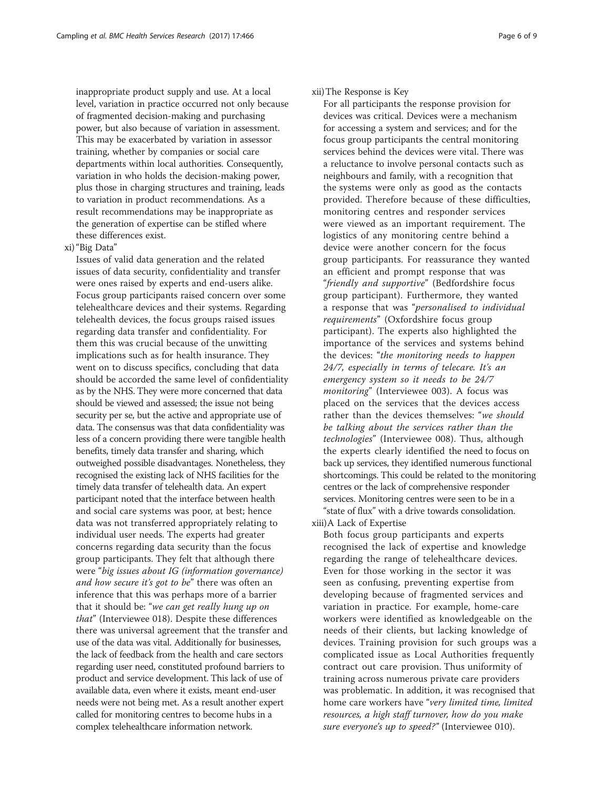inappropriate product supply and use. At a local level, variation in practice occurred not only because of fragmented decision-making and purchasing power, but also because of variation in assessment. This may be exacerbated by variation in assessor training, whether by companies or social care departments within local authorities. Consequently, variation in who holds the decision-making power, plus those in charging structures and training, leads to variation in product recommendations. As a result recommendations may be inappropriate as the generation of expertise can be stifled where these differences exist.

xi)"Big Data"

Issues of valid data generation and the related issues of data security, confidentiality and transfer were ones raised by experts and end-users alike. Focus group participants raised concern over some telehealthcare devices and their systems. Regarding telehealth devices, the focus groups raised issues regarding data transfer and confidentiality. For them this was crucial because of the unwitting implications such as for health insurance. They went on to discuss specifics, concluding that data should be accorded the same level of confidentiality as by the NHS. They were more concerned that data should be viewed and assessed; the issue not being security per se, but the active and appropriate use of data. The consensus was that data confidentiality was less of a concern providing there were tangible health benefits, timely data transfer and sharing, which outweighed possible disadvantages. Nonetheless, they recognised the existing lack of NHS facilities for the timely data transfer of telehealth data. An expert participant noted that the interface between health and social care systems was poor, at best; hence data was not transferred appropriately relating to individual user needs. The experts had greater concerns regarding data security than the focus group participants. They felt that although there were "big issues about IG (information governance) and how secure it's got to be" there was often an inference that this was perhaps more of a barrier that it should be: "we can get really hung up on that" (Interviewee 018). Despite these differences there was universal agreement that the transfer and use of the data was vital. Additionally for businesses, the lack of feedback from the health and care sectors regarding user need, constituted profound barriers to product and service development. This lack of use of available data, even where it exists, meant end-user needs were not being met. As a result another expert called for monitoring centres to become hubs in a complex telehealthcare information network.

xii)The Response is Key

For all participants the response provision for devices was critical. Devices were a mechanism for accessing a system and services; and for the focus group participants the central monitoring services behind the devices were vital. There was a reluctance to involve personal contacts such as neighbours and family, with a recognition that the systems were only as good as the contacts provided. Therefore because of these difficulties, monitoring centres and responder services were viewed as an important requirement. The logistics of any monitoring centre behind a device were another concern for the focus group participants. For reassurance they wanted an efficient and prompt response that was "friendly and supportive" (Bedfordshire focus group participant). Furthermore, they wanted a response that was "personalised to individual requirements" (Oxfordshire focus group participant). The experts also highlighted the importance of the services and systems behind the devices: "the monitoring needs to happen 24/7, especially in terms of telecare. It's an emergency system so it needs to be 24/7 monitoring" (Interviewee 003). A focus was placed on the services that the devices access rather than the devices themselves: "we should be talking about the services rather than the technologies" (Interviewee 008). Thus, although the experts clearly identified the need to focus on back up services, they identified numerous functional shortcomings. This could be related to the monitoring centres or the lack of comprehensive responder services. Monitoring centres were seen to be in a "state of flux" with a drive towards consolidation.

xiii)A Lack of Expertise

Both focus group participants and experts recognised the lack of expertise and knowledge regarding the range of telehealthcare devices. Even for those working in the sector it was seen as confusing, preventing expertise from developing because of fragmented services and variation in practice. For example, home-care workers were identified as knowledgeable on the needs of their clients, but lacking knowledge of devices. Training provision for such groups was a complicated issue as Local Authorities frequently contract out care provision. Thus uniformity of training across numerous private care providers was problematic. In addition, it was recognised that home care workers have "very limited time, limited resources, a high staff turnover, how do you make sure everyone's up to speed?" (Interviewee 010).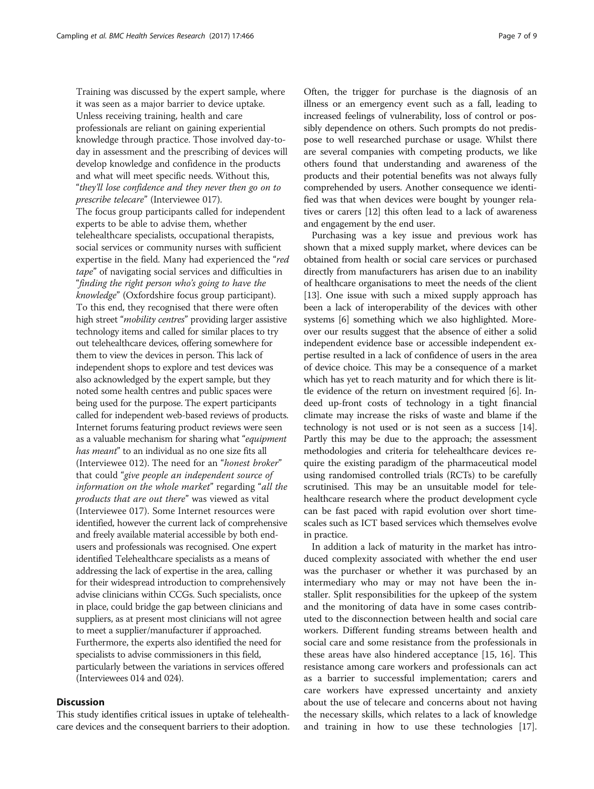Training was discussed by the expert sample, where it was seen as a major barrier to device uptake. Unless receiving training, health and care professionals are reliant on gaining experiential knowledge through practice. Those involved day-today in assessment and the prescribing of devices will develop knowledge and confidence in the products and what will meet specific needs. Without this, "they'll lose confidence and they never then go on to prescribe telecare" (Interviewee 017).

The focus group participants called for independent experts to be able to advise them, whether telehealthcare specialists, occupational therapists, social services or community nurses with sufficient expertise in the field. Many had experienced the "red tape" of navigating social services and difficulties in "finding the right person who's going to have the knowledge" (Oxfordshire focus group participant). To this end, they recognised that there were often high street "mobility centres" providing larger assistive technology items and called for similar places to try out telehealthcare devices, offering somewhere for them to view the devices in person. This lack of independent shops to explore and test devices was also acknowledged by the expert sample, but they noted some health centres and public spaces were being used for the purpose. The expert participants called for independent web-based reviews of products. Internet forums featuring product reviews were seen as a valuable mechanism for sharing what "equipment has meant" to an individual as no one size fits all (Interviewee 012). The need for an "honest broker" that could "give people an independent source of information on the whole market" regarding "all the products that are out there" was viewed as vital (Interviewee 017). Some Internet resources were identified, however the current lack of comprehensive and freely available material accessible by both endusers and professionals was recognised. One expert identified Telehealthcare specialists as a means of addressing the lack of expertise in the area, calling for their widespread introduction to comprehensively advise clinicians within CCGs. Such specialists, once in place, could bridge the gap between clinicians and suppliers, as at present most clinicians will not agree to meet a supplier/manufacturer if approached. Furthermore, the experts also identified the need for specialists to advise commissioners in this field, particularly between the variations in services offered (Interviewees 014 and 024).

#### **Discussion**

This study identifies critical issues in uptake of telehealthcare devices and the consequent barriers to their adoption.

Often, the trigger for purchase is the diagnosis of an illness or an emergency event such as a fall, leading to increased feelings of vulnerability, loss of control or possibly dependence on others. Such prompts do not predispose to well researched purchase or usage. Whilst there are several companies with competing products, we like others found that understanding and awareness of the products and their potential benefits was not always fully comprehended by users. Another consequence we identified was that when devices were bought by younger relatives or carers [\[12\]](#page-9-0) this often lead to a lack of awareness and engagement by the end user.

Purchasing was a key issue and previous work has shown that a mixed supply market, where devices can be obtained from health or social care services or purchased directly from manufacturers has arisen due to an inability of healthcare organisations to meet the needs of the client [[13](#page-9-0)]. One issue with such a mixed supply approach has been a lack of interoperability of the devices with other systems [[6](#page-9-0)] something which we also highlighted. Moreover our results suggest that the absence of either a solid independent evidence base or accessible independent expertise resulted in a lack of confidence of users in the area of device choice. This may be a consequence of a market which has yet to reach maturity and for which there is little evidence of the return on investment required [\[6](#page-9-0)]. Indeed up-front costs of technology in a tight financial climate may increase the risks of waste and blame if the technology is not used or is not seen as a success [[14](#page-9-0)]. Partly this may be due to the approach; the assessment methodologies and criteria for telehealthcare devices require the existing paradigm of the pharmaceutical model using randomised controlled trials (RCTs) to be carefully scrutinised. This may be an unsuitable model for telehealthcare research where the product development cycle can be fast paced with rapid evolution over short timescales such as ICT based services which themselves evolve in practice.

In addition a lack of maturity in the market has introduced complexity associated with whether the end user was the purchaser or whether it was purchased by an intermediary who may or may not have been the installer. Split responsibilities for the upkeep of the system and the monitoring of data have in some cases contributed to the disconnection between health and social care workers. Different funding streams between health and social care and some resistance from the professionals in these areas have also hindered acceptance [\[15](#page-9-0), [16\]](#page-9-0). This resistance among care workers and professionals can act as a barrier to successful implementation; carers and care workers have expressed uncertainty and anxiety about the use of telecare and concerns about not having the necessary skills, which relates to a lack of knowledge and training in how to use these technologies [\[17](#page-9-0)].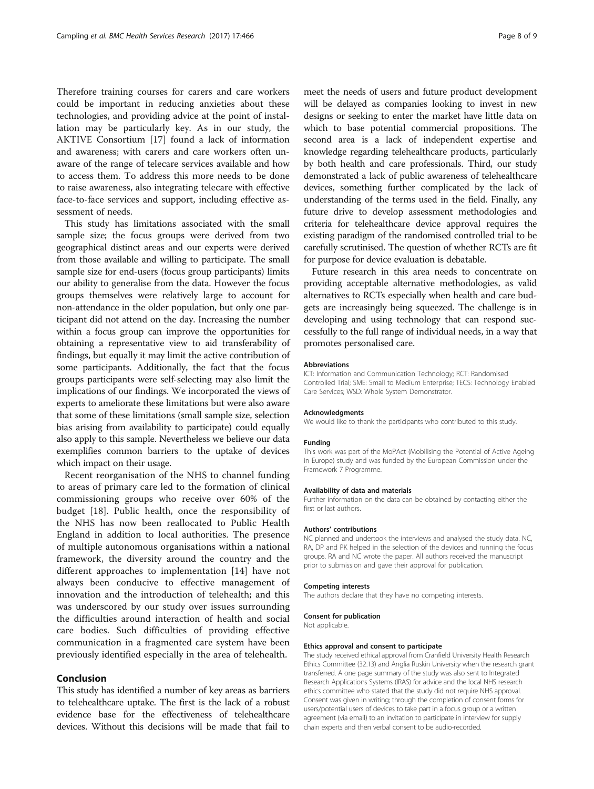Therefore training courses for carers and care workers could be important in reducing anxieties about these technologies, and providing advice at the point of installation may be particularly key. As in our study, the AKTIVE Consortium [[17](#page-9-0)] found a lack of information and awareness; with carers and care workers often unaware of the range of telecare services available and how to access them. To address this more needs to be done to raise awareness, also integrating telecare with effective face-to-face services and support, including effective assessment of needs.

This study has limitations associated with the small sample size; the focus groups were derived from two geographical distinct areas and our experts were derived from those available and willing to participate. The small sample size for end-users (focus group participants) limits our ability to generalise from the data. However the focus groups themselves were relatively large to account for non-attendance in the older population, but only one participant did not attend on the day. Increasing the number within a focus group can improve the opportunities for obtaining a representative view to aid transferability of findings, but equally it may limit the active contribution of some participants. Additionally, the fact that the focus groups participants were self-selecting may also limit the implications of our findings. We incorporated the views of experts to ameliorate these limitations but were also aware that some of these limitations (small sample size, selection bias arising from availability to participate) could equally also apply to this sample. Nevertheless we believe our data exemplifies common barriers to the uptake of devices which impact on their usage.

Recent reorganisation of the NHS to channel funding to areas of primary care led to the formation of clinical commissioning groups who receive over 60% of the budget [[18\]](#page-9-0). Public health, once the responsibility of the NHS has now been reallocated to Public Health England in addition to local authorities. The presence of multiple autonomous organisations within a national framework, the diversity around the country and the different approaches to implementation [\[14](#page-9-0)] have not always been conducive to effective management of innovation and the introduction of telehealth; and this was underscored by our study over issues surrounding the difficulties around interaction of health and social care bodies. Such difficulties of providing effective communication in a fragmented care system have been previously identified especially in the area of telehealth.

#### Conclusion

This study has identified a number of key areas as barriers to telehealthcare uptake. The first is the lack of a robust evidence base for the effectiveness of telehealthcare devices. Without this decisions will be made that fail to

meet the needs of users and future product development will be delayed as companies looking to invest in new designs or seeking to enter the market have little data on which to base potential commercial propositions. The second area is a lack of independent expertise and knowledge regarding telehealthcare products, particularly by both health and care professionals. Third, our study demonstrated a lack of public awareness of telehealthcare devices, something further complicated by the lack of understanding of the terms used in the field. Finally, any future drive to develop assessment methodologies and criteria for telehealthcare device approval requires the existing paradigm of the randomised controlled trial to be carefully scrutinised. The question of whether RCTs are fit for purpose for device evaluation is debatable.

Future research in this area needs to concentrate on providing acceptable alternative methodologies, as valid alternatives to RCTs especially when health and care budgets are increasingly being squeezed. The challenge is in developing and using technology that can respond successfully to the full range of individual needs, in a way that promotes personalised care.

#### Abbreviations

ICT: Information and Communication Technology; RCT: Randomised Controlled Trial; SME: Small to Medium Enterprise; TECS: Technology Enabled Care Services; WSD: Whole System Demonstrator.

#### Acknowledgments

We would like to thank the participants who contributed to this study.

#### Funding

This work was part of the MoPAct (Mobilising the Potential of Active Ageing in Europe) study and was funded by the European Commission under the Framework 7 Programme.

#### Availability of data and materials

Further information on the data can be obtained by contacting either the first or last authors.

#### Authors' contributions

NC planned and undertook the interviews and analysed the study data. NC, RA, DP and PK helped in the selection of the devices and running the focus groups. RA and NC wrote the paper. All authors received the manuscript prior to submission and gave their approval for publication.

#### Competing interests

The authors declare that they have no competing interests.

#### Consent for publication

Not applicable.

#### Ethics approval and consent to participate

The study received ethical approval from Cranfield University Health Research Ethics Committee (32.13) and Anglia Ruskin University when the research grant transferred. A one page summary of the study was also sent to Integrated Research Applications Systems (IRAS) for advice and the local NHS research ethics committee who stated that the study did not require NHS approval. Consent was given in writing; through the completion of consent forms for users/potential users of devices to take part in a focus group or a written agreement (via email) to an invitation to participate in interview for supply chain experts and then verbal consent to be audio-recorded.